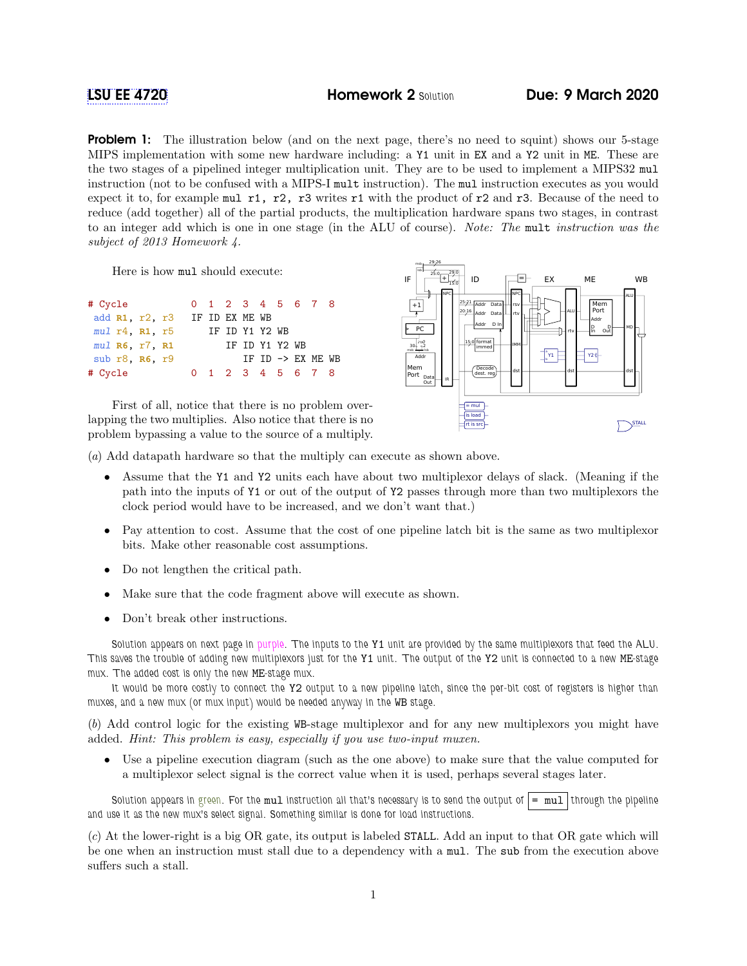**Problem 1:** The illustration below (and on the next page, there's no need to squint) shows our 5-stage MIPS implementation with some new hardware including: a Y1 unit in EX and a Y2 unit in ME. These are the two stages of a pipelined integer multiplication unit. They are to be used to implement a MIPS32 mul instruction (not to be confused with a MIPS-I mult instruction). The mul instruction executes as you would expect it to, for example mul r1, r2, r3 writes r1 with the product of r2 and r3. Because of the need to reduce (add together) all of the partial products, the multiplication hardware spans two stages, in contrast to an integer add which is one in one stage (in the ALU of course). Note: The mult instruction was the subject of 2013 Homework 4.

Here is how mul should execute:

| # Cycle                  | 0 1 2 3 4 5 6 7 8 |  |                   |  |                              |  |
|--------------------------|-------------------|--|-------------------|--|------------------------------|--|
| add R1, r2, r3           | IF ID EX ME WB    |  |                   |  |                              |  |
| $mul$ $r4$ , $R1$ , $r5$ |                   |  | IF ID Y1 Y2 WB    |  |                              |  |
| $mul$ R6, $r7$ , R1      |                   |  | IF ID Y1 Y2 WB    |  |                              |  |
| sub $r8$ . $R6$ , $r9$   |                   |  |                   |  | IF ID $\rightarrow$ EX ME WB |  |
| # Cycle                  |                   |  | 0 1 2 3 4 5 6 7 8 |  |                              |  |

First of all, notice that there is no problem overlapping the two multiplies. Also notice that there is no problem bypassing a value to the source of a multiply.



(a) Add datapath hardware so that the multiply can execute as shown above.

- Assume that the Y1 and Y2 units each have about two multiplexor delays of slack. (Meaning if the path into the inputs of Y1 or out of the output of Y2 passes through more than two multiplexors the clock period would have to be increased, and we don't want that.)
- Pay attention to cost. Assume that the cost of one pipeline latch bit is the same as two multiplexor bits. Make other reasonable cost assumptions.
- Do not lengthen the critical path.
- Make sure that the code fragment above will execute as shown.
- Don't break other instructions.

Solution appears on next page in purple. The inputs to the Y1 unit are provided by the same multiplexors that feed the ALU. This saves the trouble of adding new multiplexors just for the Y1 unit. The output of the Y2 unit is connected to a new ME-stage mux. The added cost is only the new ME-stage mux.

It would be more costly to connect the Y2 output to a new pipeline latch, since the per-bit cost of registers is higher than muxes, and a new mux (or mux input) would be needed anyway in the WB stage.

(b) Add control logic for the existing WB-stage multiplexor and for any new multiplexors you might have added. Hint: This problem is easy, especially if you use two-input muxen.

• Use a pipeline execution diagram (such as the one above) to make sure that the value computed for a multiplexor select signal is the correct value when it is used, perhaps several stages later.

Solution appears in green. For the mul instruction all that's necessary is to send the output of  $| = \text{mul}|$  through the pipeline and use it as the new mux's select signal. Something similar is done for load instructions.

(c) At the lower-right is a big OR gate, its output is labeled STALL. Add an input to that OR gate which will be one when an instruction must stall due to a dependency with a mul. The sub from the execution above suffers such a stall.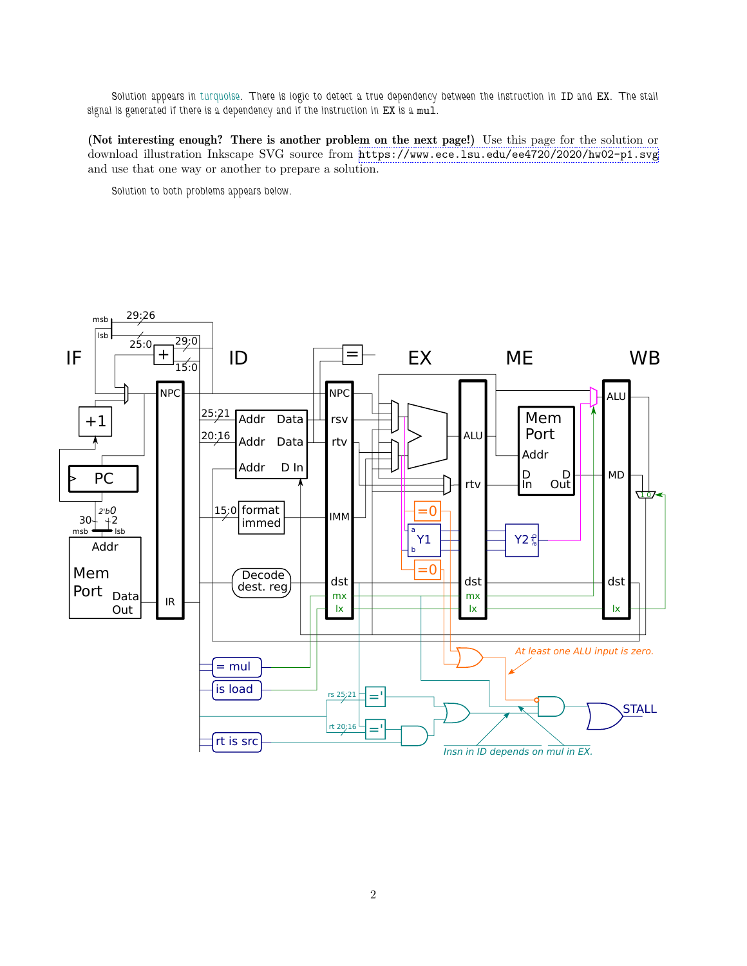Solution appears in turquoise. There is logic to detect a true dependency between the instruction in ID and EX. The stall signal is generated if there is a dependency and if the instruction in EX is a mul.

(Not interesting enough? There is another problem on the next page!) Use this page for the solution or download illustration Inkscape SVG source from <https://www.ece.lsu.edu/ee4720/2020/hw02-p1.svg> and use that one way or another to prepare a solution.

Solution to both problems appears below.



2